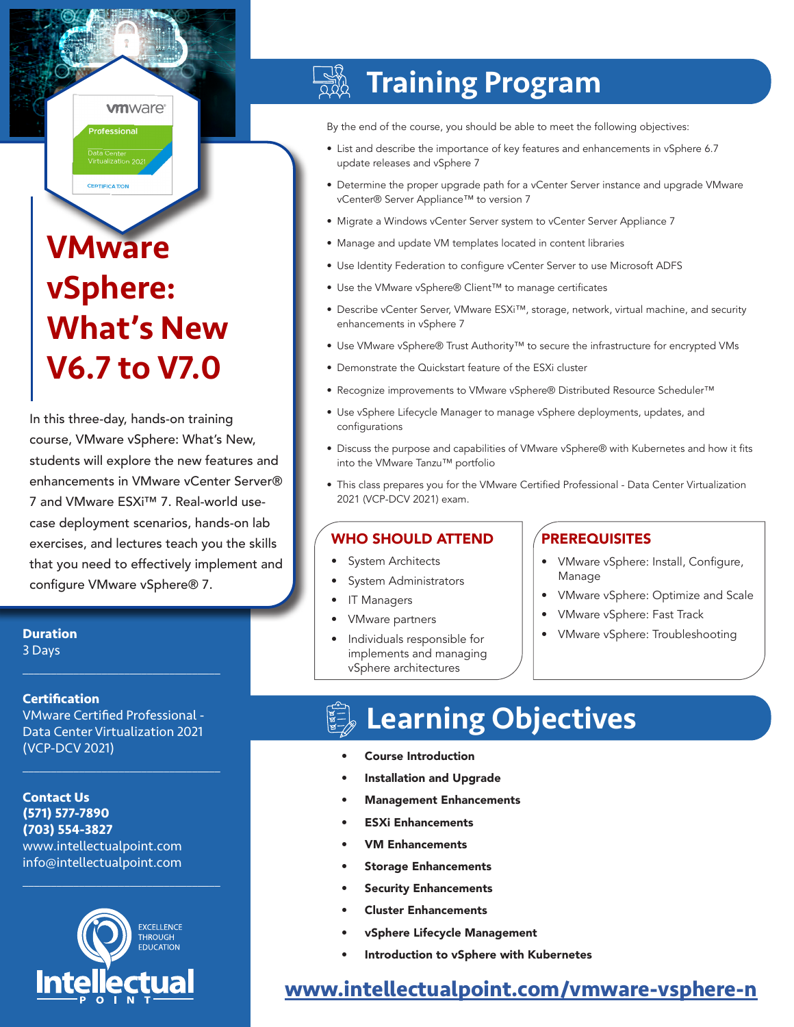### **vm**ware<sup>®</sup>

Data Center<br>Virtualization 2021 **CERTIFICATION** 

Professional

# **VMware** vSphere: What's New V6.7 to V7.0

In this three-day, hands-on training course, VMware vSphere: What's New, students will explore the new features and enhancements in VMware vCenter Server® 7 and VMware ESXi™ 7. Real-world usecase deployment scenarios, hands-on lab exercises, and lectures teach you the skills that you need to effectively implement and configure VMware vSphere® 7.

**Duration** 3 Days

 $\mathcal{L}_\text{max}$  and  $\mathcal{L}_\text{max}$  and  $\mathcal{L}_\text{max}$  and  $\mathcal{L}_\text{max}$ 

#### **Certification**

VMware Certified Professional - Data Center Virtualization 2021 (VCP-DCV 2021)

 $\mathcal{L}_\text{max}$  and  $\mathcal{L}_\text{max}$  and  $\mathcal{L}_\text{max}$  and  $\mathcal{L}_\text{max}$ 

 $\mathcal{L}_\text{max}$  and  $\mathcal{L}_\text{max}$  and  $\mathcal{L}_\text{max}$  and  $\mathcal{L}_\text{max}$ 

**Contact Us (571) 577-7890 (703) 554-3827** www.intellectualpoint.com info@intellectualpoint.com



#### $\frac{dN}{dN}$ Training Program

By the end of the course, you should be able to meet the following objectives:

- List and describe the importance of key features and enhancements in vSphere 6.7 update releases and vSphere 7
- Determine the proper upgrade path for a vCenter Server instance and upgrade VMware vCenter® Server Appliance™ to version 7
- Migrate a Windows vCenter Server system to vCenter Server Appliance 7
- Manage and update VM templates located in content libraries
- Use Identity Federation to configure vCenter Server to use Microsoft ADFS
- Use the VMware vSphere® Client™ to manage certificates
- Describe vCenter Server, VMware ESXi™, storage, network, virtual machine, and security enhancements in vSphere 7
- Use VMware vSphere® Trust Authority™ to secure the infrastructure for encrypted VMs
- Demonstrate the Quickstart feature of the ESXi cluster
- Recognize improvements to VMware vSphere® Distributed Resource Scheduler™
- Use vSphere Lifecycle Manager to manage vSphere deployments, updates, and configurations
- Discuss the purpose and capabilities of VMware vSphere® with Kubernetes and how it fits into the VMware Tanzu™ portfolio
- This class prepares you for the VMware Certified Professional Data Center Virtualization 2021 (VCP-DCV 2021) exam.

#### WHO SHOULD ATTEND **PREREQUISITES**

- System Architects
- System Administrators
- IT Managers
- VMware partners
- Individuals responsible for implements and managing vSphere architectures

- VMware vSphere: Install, Configure, Manage
- VMware vSphere: Optimize and Scale
- VMware vSphere: Fast Track
- VMware vSphere: Troubleshooting

## Learning Objectives

- Course Introduction
- Installation and Upgrade
- Management Enhancements
- ESXi Enhancements
- **VM Enhancements**
- **Storage Enhancements**
- **Security Enhancements**
- Cluster Enhancements
- vSphere Lifecycle Management
- Introduction to vSphere with Kubernetes

## **[www.intellectualpoint.com/v]( https://www.intellectualpoint.com/product/vmware-vsphere-n)mware-vsphere-n**